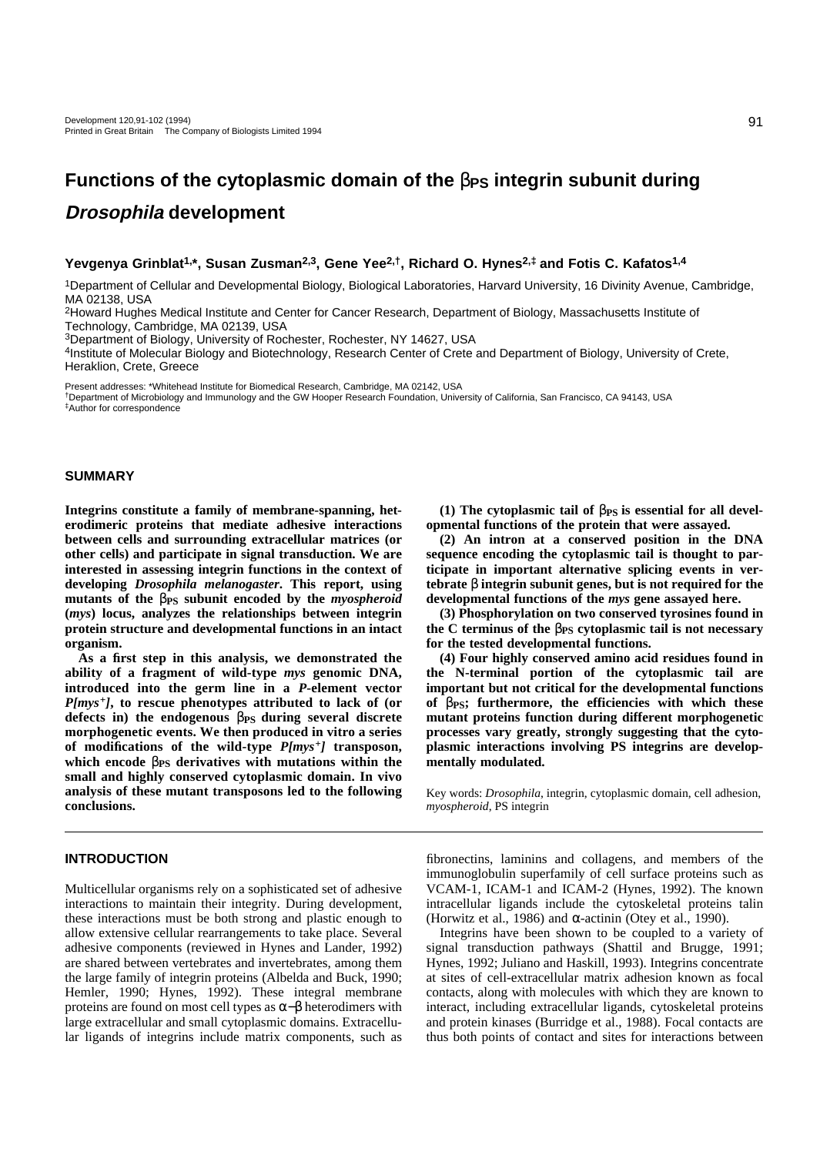# **Functions of the cytoplasmic domain of the**  $β$ **<sub>PS</sub> integrin subunit during Drosophila development**

## **Yevgenya Grinblat1,\*, Susan Zusman2,3, Gene Yee2,†, Richard O. Hynes2,‡ and Fotis C. Kafatos1,4**

1Department of Cellular and Developmental Biology, Biological Laboratories, Harvard University, 16 Divinity Avenue, Cambridge, MA 02138, USA

2Howard Hughes Medical Institute and Center for Cancer Research, Department of Biology, Massachusetts Institute of Technology, Cambridge, MA 02139, USA

3Department of Biology, University of Rochester, Rochester, NY 14627, USA

4Institute of Molecular Biology and Biotechnology, Research Center of Crete and Department of Biology, University of Crete, Heraklion, Crete, Greece

Present addresses: \*Whitehead Institute for Biomedical Research, Cambridge, MA 02142, USA

†Department of Microbiology and Immunology and the GW Hooper Research Foundation, University of California, San Francisco, CA 94143, USA ‡Author for correspondence

### **SUMMARY**

**Integrins constitute a family of membrane-spanning, heterodimeric proteins that mediate adhesive interactions between cells and surrounding extracellular matrices (or other cells) and participate in signal transduction. We are interested in assessing integrin functions in the context of developing** *Drosophila melanogaster***. This report, using mutants of the** β**PS subunit encoded by the** *myospheroid* **(***mys***) locus, analyzes the relationships between integrin protein structure and developmental functions in an intact organism.**

**As a first step in this analysis, we demonstrated the ability of a fragment of wild-type** *mys* **genomic DNA, introduced into the germ line in a** *P***-element vector** *P[mys+]***, to rescue phenotypes attributed to lack of (or defects in) the endogenous** β**PS during several discrete morphogenetic events. We then produced in vitro a series of modifications of the wild-type** *P[mys+]* **transposon, which encode** β**PS derivatives with mutations within the small and highly conserved cytoplasmic domain. In vivo analysis of these mutant transposons led to the following conclusions.** 

## **INTRODUCTION**

Multicellular organisms rely on a sophisticated set of adhesive interactions to maintain their integrity. During development, these interactions must be both strong and plastic enough to allow extensive cellular rearrangements to take place. Several adhesive components (reviewed in Hynes and Lander, 1992) are shared between vertebrates and invertebrates, among them the large family of integrin proteins (Albelda and Buck, 1990; Hemler, 1990; Hynes, 1992). These integral membrane proteins are found on most cell types as  $\alpha-\beta$  heterodimers with large extracellular and small cytoplasmic domains. Extracellular ligands of integrins include matrix components, such as

**(1) The cytoplasmic tail of** β**PS is essential for all developmental functions of the protein that were assayed.**

**(2) An intron at a conserved position in the DNA sequence encoding the cytoplasmic tail is thought to participate in important alternative splicing events in vertebrate** β **integrin subunit genes, but is not required for the developmental functions of the** *mys* **gene assayed here.**

**(3) Phosphorylation on two conserved tyrosines found in the C terminus of the** β**PS cytoplasmic tail is not necessary for the tested developmental functions.**

**(4) Four highly conserved amino acid residues found in the N-terminal portion of the cytoplasmic tail are important but not critical for the developmental functions of** β**PS; furthermore, the efficiencies with which these mutant proteins function during different morphogenetic processes vary greatly, strongly suggesting that the cytoplasmic interactions involving PS integrins are developmentally modulated.** 

Key words: *Drosophila*, integrin, cytoplasmic domain, cell adhesion, *myospheroid*, PS integrin

fibronectins, laminins and collagens, and members of the immunoglobulin superfamily of cell surface proteins such as VCAM-1, ICAM-1 and ICAM-2 (Hynes, 1992). The known intracellular ligands include the cytoskeletal proteins talin (Horwitz et al., 1986) and  $\alpha$ -actinin (Otey et al., 1990).

Integrins have been shown to be coupled to a variety of signal transduction pathways (Shattil and Brugge, 1991; Hynes, 1992; Juliano and Haskill, 1993). Integrins concentrate at sites of cell-extracellular matrix adhesion known as focal contacts, along with molecules with which they are known to interact, including extracellular ligands, cytoskeletal proteins and protein kinases (Burridge et al., 1988). Focal contacts are thus both points of contact and sites for interactions between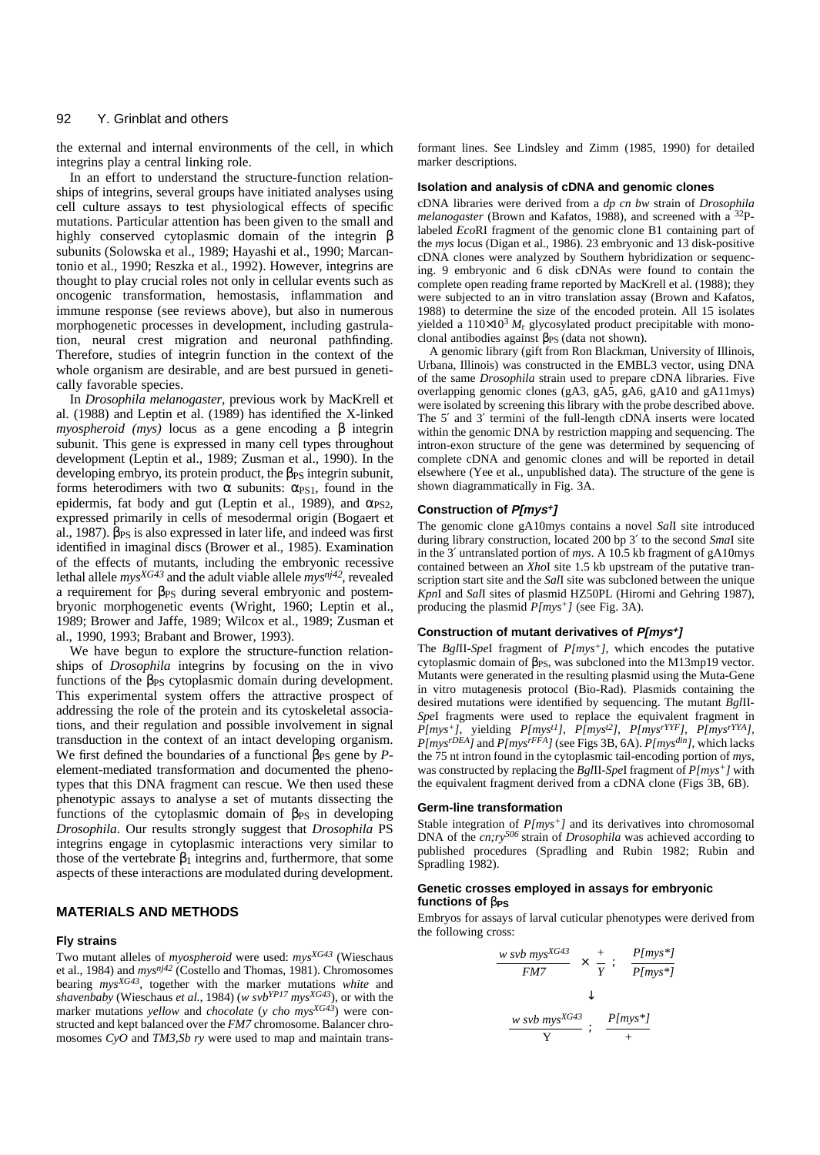the external and internal environments of the cell, in which integrins play a central linking role.

In an effort to understand the structure-function relationships of integrins, several groups have initiated analyses using cell culture assays to test physiological effects of specific mutations. Particular attention has been given to the small and highly conserved cytoplasmic domain of the integrin β subunits (Solowska et al., 1989; Hayashi et al., 1990; Marcantonio et al., 1990; Reszka et al., 1992). However, integrins are thought to play crucial roles not only in cellular events such as oncogenic transformation, hemostasis, inflammation and immune response (see reviews above), but also in numerous morphogenetic processes in development, including gastrulation, neural crest migration and neuronal pathfinding. Therefore, studies of integrin function in the context of the whole organism are desirable, and are best pursued in genetically favorable species.

In *Drosophila melanogaster*, previous work by MacKrell et al. (1988) and Leptin et al. (1989) has identified the X-linked *myospheroid (mys)* locus as a gene encoding a β integrin subunit. This gene is expressed in many cell types throughout development (Leptin et al., 1989; Zusman et al., 1990). In the developing embryo, its protein product, the βPS integrin subunit, forms heterodimers with two α subunits:  $α<sub>PS1</sub>$ , found in the epidermis, fat body and gut (Leptin et al., 1989), and  $\alpha_{\rm PS2}$ , expressed primarily in cells of mesodermal origin (Bogaert et al., 1987).  $\beta_{\rm PS}$  is also expressed in later life, and indeed was first identified in imaginal discs (Brower et al., 1985). Examination of the effects of mutants, including the embryonic recessive lethal allele  $mys^{XG43}$  and the adult viable allele  $mys^{nj42}$ , revealed a requirement for β<sub>PS</sub> during several embryonic and postembryonic morphogenetic events (Wright, 1960; Leptin et al., 1989; Brower and Jaffe, 1989; Wilcox et al., 1989; Zusman et al., 1990, 1993; Brabant and Brower, 1993).

We have begun to explore the structure-function relationships of *Drosophila* integrins by focusing on the in vivo functions of the  $\beta_{PS}$  cytoplasmic domain during development. This experimental system offers the attractive prospect of addressing the role of the protein and its cytoskeletal associations, and their regulation and possible involvement in signal transduction in the context of an intact developing organism. We first defined the boundaries of a functional  $\beta_{PS}$  gene by *P*element-mediated transformation and documented the phenotypes that this DNA fragment can rescue. We then used these phenotypic assays to analyse a set of mutants dissecting the functions of the cytoplasmic domain of  $β_{PS}$  in developing *Drosophila*. Our results strongly suggest that *Drosophila* PS integrins engage in cytoplasmic interactions very similar to those of the vertebrate  $\beta_1$  integrins and, furthermore, that some aspects of these interactions are modulated during development.

### **MATERIALS AND METHODS**

#### **Fly strains**

Two mutant alleles of *myospheroid* were used: *mysXG43* (Wieschaus et al., 1984) and *mysnj42* (Costello and Thomas, 1981). Chromosomes bearing *mysXG43*, together with the marker mutations *white* and *shavenbaby* (Wieschaus *et al.*, 1984) (*w svbYP17 mysXG43*), or with the marker mutations *yellow* and *chocolate* (*y cho mysXG43*) were constructed and kept balanced over the *FM7* chromosome. Balancer chromosomes *CyO* and *TM3,Sb ry* were used to map and maintain transformant lines. See Lindsley and Zimm (1985, 1990) for detailed marker descriptions.

#### **Isolation and analysis of cDNA and genomic clones**

cDNA libraries were derived from a *dp cn bw* strain of *Drosophila melanogaster* (Brown and Kafatos, 1988), and screened with a 32P labeled *Eco*RI fragment of the genomic clone B1 containing part of the *mys* locus (Digan et al., 1986). 23 embryonic and 13 disk-positive cDNA clones were analyzed by Southern hybridization or sequenc ing. 9 embryonic and 6 disk cDNAs were found to contain the complete open reading frame reported by MacKrell et al. (1988); they were subjected to an in vitro translation assay (Brown and Kafatos, 1988) to determine the size of the encoded protein. All 15 isolates yielded a  $110\times10^3$   $M_r$  glycosylated product precipitable with monoclonal antibodies against  $β_{PS}$  (data not shown).

A genomic library (gift from Ron Blackman, University of Illinois, Urbana, Illinois) was constructed in the EMBL3 vector, using DNA of the same *Drosophila* strain used to prepare cDNA libraries. Five overlapping genomic clones (gA3, gA5, gA6, gA10 and gA11mys) were isolated by screening this library with the probe described above. The 5′ and 3′ termini of the full-length cDNA inserts were located within the genomic DNA by restriction mapping and sequencing. The intron-exon structure of the gene was determined by sequencing of complete cDNA and genomic clones and will be reported in detail elsewhere (Yee et al., unpublished data). The structure of the gene is shown diagrammatically in Fig. 3A.

#### **Construction of P[mys+]**

The genomic clone gA10mys contains a novel *Sal*I site introduced during library construction, located 200 bp 3′ to the second *Sma*I site in the 3′ untranslated portion of *mys*. A 10.5 kb fragment of gA10mys contained between an *Xho*I site 1.5 kb upstream of the putative transcription start site and the *Sal*I site was subcloned between the unique *Kpn*I and *Sal*I sites of plasmid HZ50PL (Hiromi and Gehring 1987), producing the plasmid *P[mys+]* (see Fig. 3A).

#### **Construction of mutant derivatives of P[mys+]**

The *Bgl*II*-Spe*I fragment of *P[mys+]*, which encodes the putative cytoplasmic domain of  $β_{PS}$ , was subcloned into the M13mp19 vector. Mutants were generated in the resulting plasmid using the Muta-Gene in vitro mutagenesis protocol (Bio-Rad). Plasmids containing the desired mutations were identified by sequencing. The mutant *Bgl*II-*Spe*I fragments were used to replace the equivalent fragment in *P[mys+]*, yielding *P[myst1]*, *P[myst2]*, *P[mysrYYF]*, *P[mysrYYA]*, *P[mysrDEA]* and *P[mysrFFA]* (see Figs 3B, 6A). *P[mysdin]*, which lacks the 75 nt intron found in the cytoplasmic tail-encoding portion of *mys*, was constructed by replacing the *Bgl*II-*Spe*I fragment of *P[mys+]* with the equivalent fragment derived from a cDNA clone (Figs 3B, 6B).

#### **Germ-line transformation**

Stable integration of  $P(mys<sup>+</sup>)$  and its derivatives into chromosomal DNA of the *cn;ry<sup>506</sup>* strain of *Drosophila* was achieved according to published procedures (Spradling and Rubin 1982; Rubin and Spradling 1982).

#### **Genetic crosses employed in assays for embryonic functions of** β**PS**

Embryos for assays of larval cuticular phenotypes were derived from the following cross:

$$
\frac{w \, svb \, mys^{XG43}}{FM7} \times \frac{+}{Y} ; \quad \frac{P(mys^*]}{P(mys^*)} \quad \downarrow \quad \downarrow
$$
\n
$$
\frac{w \, svb \, mys^{XG43}}{Y} ; \quad \frac{P(mys^*]}{+}
$$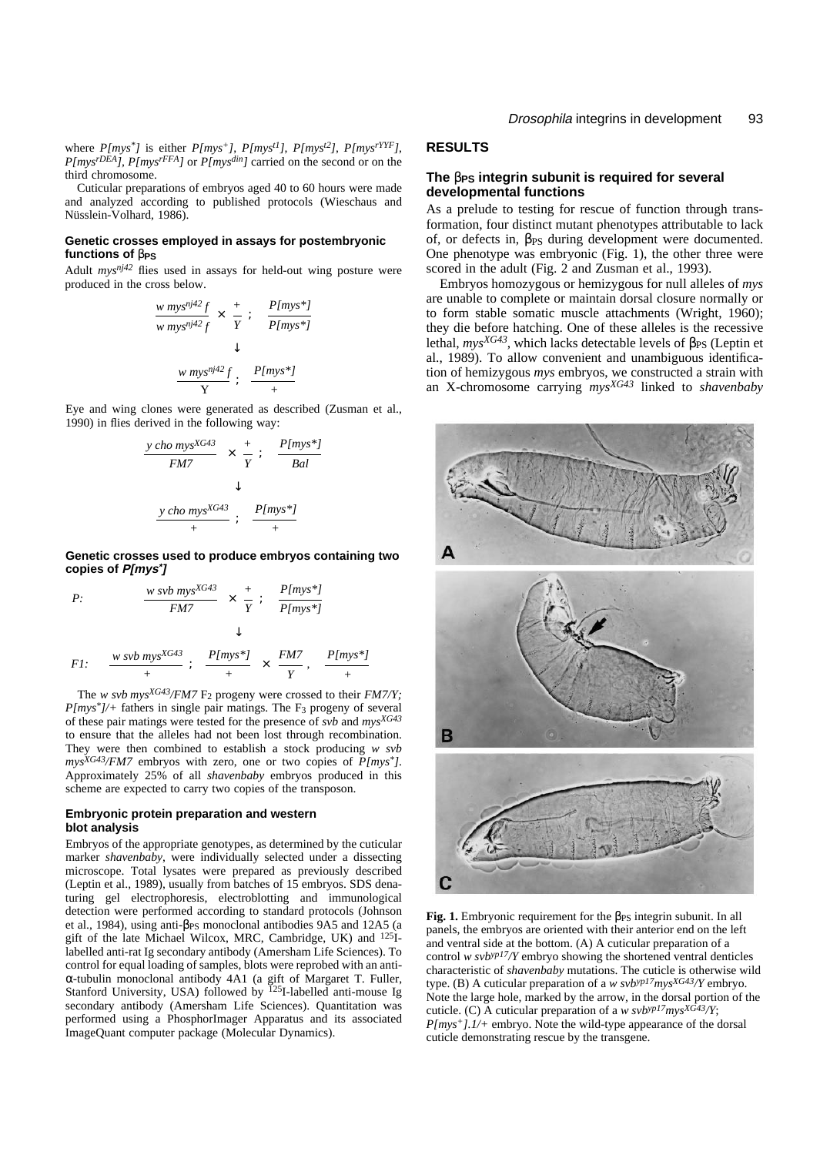where *P[mys\*]* is either *P[mys+]*, *P[myst1]*, *P[myst2]*, *P[mysrYYF]*, *P[mysrDEA], P[mysrFFA]* or *P[mysdin]* carried on the second or on the third chromosome.

Cuticular preparations of embryos aged 40 to 60 hours were made and analyzed according to published protocols (Wieschaus and Nüsslein-Volhard, 1986).

#### **Genetic crosses employed in assays for postembryonic functions of** β**PS**

Adult *mysnj42* flies used in assays for held-out wing posture were produced in the cross below.

$$
\frac{w \, mys^{nj2}f}{w \, mys^{nj2}f} \times \frac{+}{Y} ; \quad \frac{P[mys^*]}{P[mys^*]} \quad \downarrow
$$
\n
$$
\frac{w \, mys^{nj2}f}{Y} ; \quad \frac{P[mys^*]}{Y}
$$

Eye and wing clones were generated as described (Zusman et al., 1990) in flies derived in the following way:

$$
\frac{y \text{ cho } mys^{XG43}}{FM7} \times \frac{+}{Y} ; \quad \frac{P[mys^{*}]}{Bal}
$$
\n
$$
\downarrow
$$
\n
$$
\frac{y \text{ cho } mys^{XG43}}{+} ; \quad \frac{P[mys^{*}]}{+}
$$

**Genetic crosses used to produce embryos containing two copies of P[mys\*]**

P:  
\n
$$
\frac{w \text{ sub } m\text{ ys}^{XG43}}{FM7} \times \frac{+}{Y}; \quad \frac{P[m\text{ ys*}]}{P[m\text{ ys*}]} \times P[m\text{ ys*}]} \times H
$$
\nF1:  
\n
$$
\frac{w \text{ sub } m\text{ ys}^{XG43}}{+} ; \quad \frac{P[m\text{ ys*}]}{+} \times \frac{FM7}{Y}, \quad \frac{P[m\text{ ys*}]}{+}
$$

The *w svb mysXG43/FM7* F2 progeny were crossed to their *FM7/Y;*  $P(mys^*)$ /+ fathers in single pair matings. The F<sub>3</sub> progeny of several of these pair matings were tested for the presence of *svb* and *mysXG43* to ensure that the alleles had not been lost through recombination. They were then combined to establish a stock producing *w svb mysXG43/FM7* embryos with zero, one or two copies of *P[mys\*]*. Approximately 25% of all *shavenbaby* embryos produced in this scheme are expected to carry two copies of the transposon.

#### **Embryonic protein preparation and western blot analysis**

Embryos of the appropriate genotypes, as determined by the cuticular marker *shavenbaby*, were individually selected under a dissecting microscope. Total lysates were prepared as previously described (Leptin et al., 1989), usually from batches of 15 embryos. SDS denaturing gel electrophoresis, electroblotting and immunological detection were performed according to standard protocols (Johnson et al., 1984), using anti-βPS monoclonal antibodies 9A5 and 12A5 (a gift of the late Michael Wilcox, MRC, Cambridge, UK) and 125Ilabelled anti-rat Ig secondary antibody (Amersham Life Sciences). To control for equal loading of samples, blots were reprobed with an anti<sup>α</sup>-tubulin monoclonal antibody 4A1 (a gift of Margaret T. Fuller, Stanford University, USA) followed by <sup>125</sup>I-labelled anti-mouse Ig secondary antibody (Amersham Life Sciences). Quantitation was performed using a PhosphorImager Apparatus and its associated ImageQuant computer package (Molecular Dynamics).

## **RESULTS**

## **The** β**PS integrin subunit is required for several developmental functions**

As a prelude to testing for rescue of function through transformation, four distinct mutant phenotypes attributable to lack of, or defects in, βPS during development were documented. One phenotype was embryonic (Fig. 1), the other three were scored in the adult (Fig. 2 and Zusman et al., 1993).

Embryos homozygous or hemizygous for null alleles of *mys* are unable to complete or maintain dorsal closure normally or to form stable somatic muscle attachments (Wright, 1960); they die before hatching. One of these alleles is the recessive lethal,  $mys^{XG43}$ , which lacks detectable levels of  $\beta_{PS}$  (Leptin et al., 1989). To allow convenient and unambiguous identification of hemizygous *mys* embryos, we constructed a strain with an X-chromosome carrying *mysXG43* linked to *shavenbaby*



**Fig. 1.** Embryonic requirement for the β<sub>PS</sub> integrin subunit. In all panels, the embryos are oriented with their anterior end on the left and ventral side at the bottom. (A) A cuticular preparation of a control *w svbyp17/Y* embryo showing the shortened ventral denticles characteristic of *shavenbaby* mutations. The cuticle is otherwise wild type. (B) A cuticular preparation of a *w svbyp17mysXG43/Y* embryo. Note the large hole, marked by the arrow, in the dorsal portion of the cuticle. (C) A cuticular preparation of a *w svbyp17mysXG43/Y*; *P[mys+].1/+* embryo. Note the wild-type appearance of the dorsal cuticle demonstrating rescue by the transgene.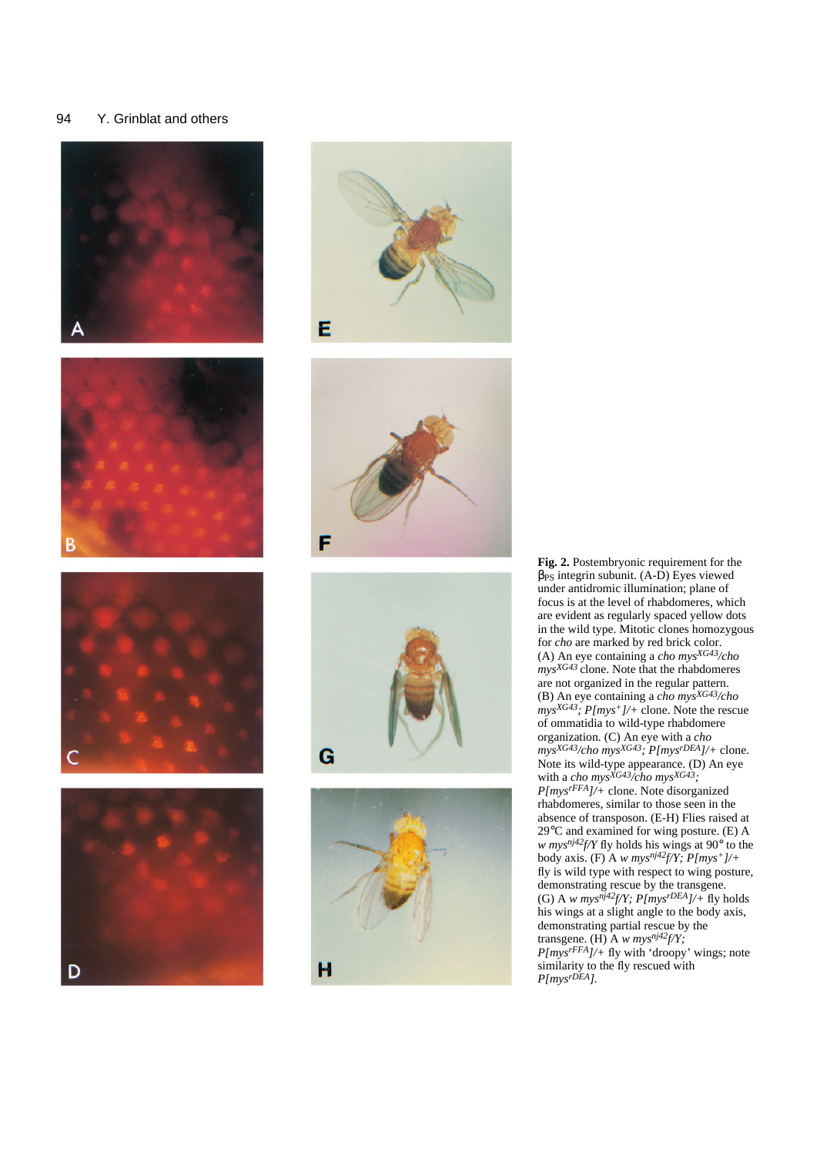















**Fig. 2.** Postembryonic requirement for the  $β<sub>PS</sub>$  integrin subunit. (A-D) Eyes viewed under antidromic illumination; plane of focus is at the level of rhabdomeres, which are evident as regularly spaced yellow dots in the wild type. Mitotic clones homozygous for *cho* are marked by red brick color. (A) An eye containing a *cho mysXG43/cho mysXG43* clone. Note that the rhabdomeres are not organized in the regular pattern. (B) An eye containing a *cho mysXG43/cho mysXG43; P[mys+]/+* clone. Note the rescue of ommatidia to wild-type rhabdomere organization. (C) An eye with a *cho mysXG43/cho mysXG43; P[mysrDEA]/+* clone. Note its wild-type appearance. (D) An eye with a *cho mysXG43/cho mysXG43; P[mysrFFA]/+* clone. Note disorganized rhabdomeres, similar to those seen in the absence of transposon. (E-H) Flies raised at 29°C and examined for wing posture. (E) A *w mysnj42f/Y* fly holds his wings at 90° to the body axis. (F) A *w mysnj42f/Y; P[mys+]/+* fly is wild type with respect to wing posture, demonstrating rescue by the transgene. (G) A *w mys<sup>nj42</sup>f/Y; P[mys<sup>rDEA</sup>]/+* fly holds his wings at a slight angle to the body axis, demonstrating partial rescue by the transgene. (H) A *w mysnj42f/Y; P[mysrFFA]/+* fly with 'droopy' wings; note similarity to the fly rescued with *P[mysrDEA].*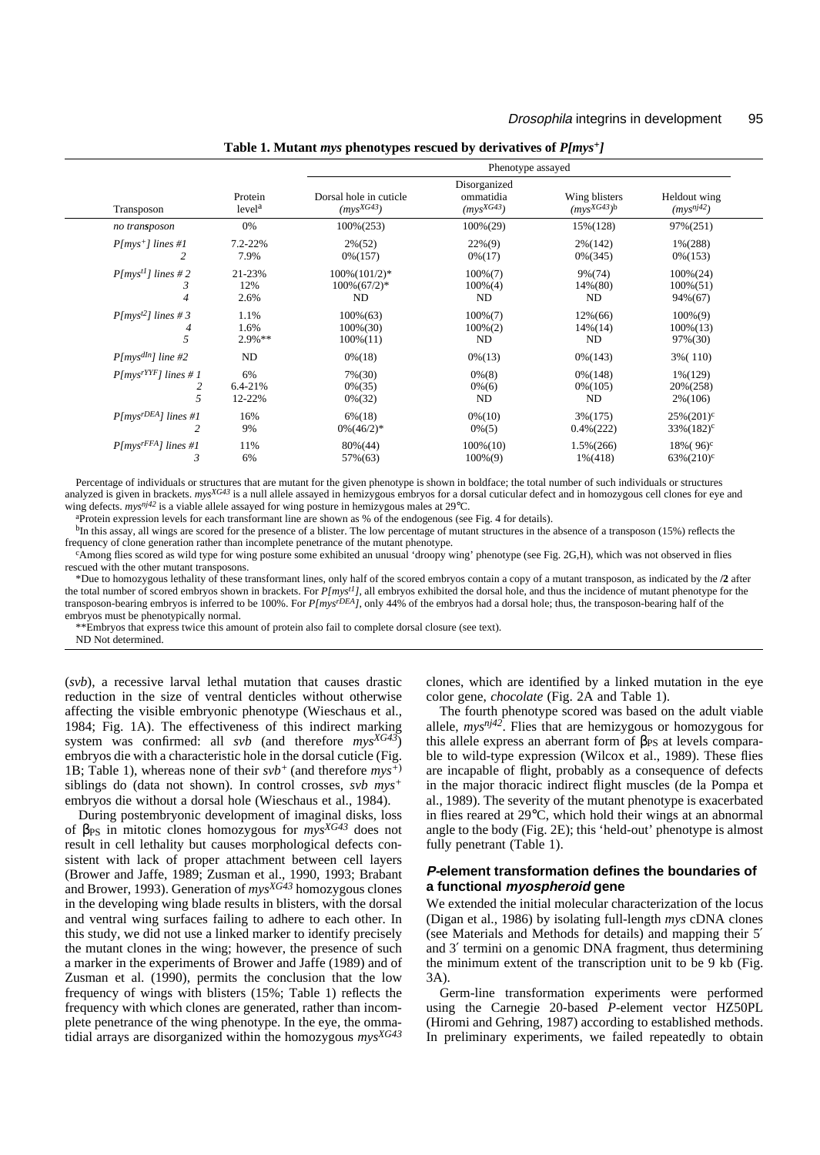|                         |                               | Phenotype assayed                        |                                             |                                |                                |  |
|-------------------------|-------------------------------|------------------------------------------|---------------------------------------------|--------------------------------|--------------------------------|--|
| Transposon              | Protein<br>level <sup>a</sup> | Dorsal hole in cuticle<br>$(mys^{XG43})$ | Disorganized<br>ommatidia<br>$(mys^{XG43})$ | Wing blisters<br>$(mvSXG43)$ b | Heldout wing<br>$(mys^{nj42})$ |  |
| no transposon           | 0%                            | $100\%(253)$                             | $100\%(29)$                                 | 15% (128)                      | 97%(251)                       |  |
| $P(mys^+)$ lines #1     | $7.2 - 22%$                   | $2\%(52)$                                | $22\%(9)$                                   | $2\%(142)$                     | $1\frac{6(288)}{2}$            |  |
| 2                       | 7.9%                          | $0\% (157)$                              | $0\% (17)$                                  | $0\%$ (345)                    | $0\% (153)$                    |  |
| $P(myst1)$ lines #2     | 21-23%                        | $100\% (101/2)*$                         | $100\%$ $(7)$                               | $9\% (74)$                     | $100\%(24)$                    |  |
| 3                       | 12%                           | $100\%(67/2)*$                           | $100\%(4)$                                  | 14%(80)                        | $100\%(51)$                    |  |
| $\overline{4}$          | 2.6%                          | ND                                       | ND                                          | ND                             | 94%(67)                        |  |
| $P(myst2)$ lines # 3    | 1.1%                          | $100\%(63)$                              | $100\%$ $(7)$                               | $12\%(66)$                     | $100\%(9)$                     |  |
| 4                       | 1.6%                          | $100\%(30)$                              | $100\%(2)$                                  | $14\%(14)$                     | $100\%(13)$                    |  |
| 5                       | $2.9\%**$                     | $100\%(11)$                              | ND                                          | ND                             | 97%(30)                        |  |
| $P[mys^{dln}]$ line #2  | <b>ND</b>                     | $0\% (18)$                               | $0\% (13)$                                  | $0\% (143)$                    | 3% (110)                       |  |
| $P(mvsrYYF)$ lines # 1  | 6%                            | $7\% (30)$                               | $0\%$ $(8)$                                 | $0\% (148)$                    | $1\frac{6(129)}{2}$            |  |
| 2                       | $6.4 - 21%$                   | $0\%$ (35)                               | $0\% (6)$                                   | $0\% (105)$                    | 20%(258)                       |  |
| 5                       | 12-22%                        | $0\%$ (32)                               | ND                                          | ND                             | $2\%(106)$                     |  |
| $P/mv srDEA$ ] lines #1 | 16%                           | $6\% (18)$                               | $0\% (10)$                                  | $3\%(175)$                     | $25\%(201)^c$                  |  |
| 2                       | 9%                            | $0\% (46/2)^*$                           | $0\% (5)$                                   | $0.4\%$ (222)                  | $33\%(182)^c$                  |  |
| $P(mysrFRA)$ lines #1   | 11%                           | $80\%(44)$                               | $100\%(10)$                                 | $1.5\%(266)$                   | $18\% (96)^c$                  |  |
| 3                       | 6%                            | 57%(63)                                  | $100\%(9)$                                  | $1\% (418)$                    | $63\% (210)^c$                 |  |

**Table 1. Mutant** *mys* **phenotypes rescued by derivatives of** *P[mys+]*

Percentage of individuals or structures that are mutant for the given phenotype is shown in boldface; the total number of such individuals or structures analyzed is given in brackets. *mys<sup>XG43</sup>* is a null allele assayed in hemizygous embryos for a dorsal cuticular defect and in homozygous cell clones for eye and wing defects. *mysnj42* is a viable allele assayed for wing posture in hemizygous males at 29°C.

aProtein expression levels for each transformant line are shown as % of the endogenous (see Fig. 4 for details).

 $b$ In this assay, all wings are scored for the presence of a blister. The low percentage of mutant structures in the absence of a transposon (15%) reflects the frequency of clone generation rather than incomplete penetrance of the mutant phenotype.

cAmong flies scored as wild type for wing posture some exhibited an unusual 'droopy wing' phenotype (see Fig. 2G,H), which was not observed in flies rescued with the other mutant transposons.

\*Due to homozygous lethality of these transformant lines, only half of the scored embryos contain a copy of a mutant transposon, as indicated by the **/2** after the total number of scored embryos shown in brackets. For *P[myst1]*, all embryos exhibited the dorsal hole, and thus the incidence of mutant phenotype for the transposon-bearing embryos is inferred to be 100%. For *P[mysrDEA]*, only 44% of the embryos had a dorsal hole; thus, the transposon-bearing half of the embryos must be phenotypically normal.

\*\*Embryos that express twice this amount of protein also fail to complete dorsal closure (see text).

ND Not determined.

(*svb*), a recessive larval lethal mutation that causes drastic reduction in the size of ventral denticles without otherwise affecting the visible embryonic phenotype (Wieschaus et al., 1984; Fig. 1A). The effectiveness of this indirect marking system was confirmed: all *svb* (and therefore *mysXG43*) embryos die with a characteristic hole in the dorsal cuticle (Fig. 1B; Table 1), whereas none of their  $s\nu b^{+}$  (and therefore  $m\nu s^{+}$ ) siblings do (data not shown). In control crosses, *svb mys<sup>+</sup>* embryos die without a dorsal hole (Wieschaus et al., 1984).

During postembryonic development of imaginal disks, loss of βPS in mitotic clones homozygous for *mysXG43* does not result in cell lethality but causes morphological defects consistent with lack of proper attachment between cell layers (Brower and Jaffe, 1989; Zusman et al., 1990, 1993; Brabant and Brower, 1993). Generation of *mysXG43* homozygous clones in the developing wing blade results in blisters, with the dorsal and ventral wing surfaces failing to adhere to each other. In this study, we did not use a linked marker to identify precisely the mutant clones in the wing; however, the presence of such a marker in the experiments of Brower and Jaffe (1989) and of Zusman et al. (1990), permits the conclusion that the low frequency of wings with blisters (15%; Table 1) reflects the frequency with which clones are generated, rather than incomplete penetrance of the wing phenotype. In the eye, the ommatidial arrays are disorganized within the homozygous *mysXG43* clones, which are identified by a linked mutation in the eye color gene, *chocolate* (Fig. 2A and Table 1).

The fourth phenotype scored was based on the adult viable allele, *mysnj42*. Flies that are hemizygous or homozygous for this allele express an aberrant form of  $\beta_{PS}$  at levels comparable to wild-type expression (Wilcox et al., 1989). These flies are incapable of flight, probably as a consequence of defects in the major thoracic indirect flight muscles (de la Pompa et al., 1989). The severity of the mutant phenotype is exacerbated in flies reared at 29°C, which hold their wings at an abnormal angle to the body (Fig. 2E); this 'held-out' phenotype is almost fully penetrant (Table 1).

### **P-element transformation defines the boundaries of a functional myospheroid gene**

We extended the initial molecular characterization of the locus (Digan et al., 1986) by isolating full-length *mys* cDNA clones (see Materials and Methods for details) and mapping their 5′ and 3′ termini on a genomic DNA fragment, thus determining the minimum extent of the transcription unit to be 9 kb (Fig. 3A).

Germ-line transformation experiments were performed using the Carnegie 20-based *P*-element vector HZ50PL (Hiromi and Gehring, 1987) according to established methods. In preliminary experiments, we failed repeatedly to obtain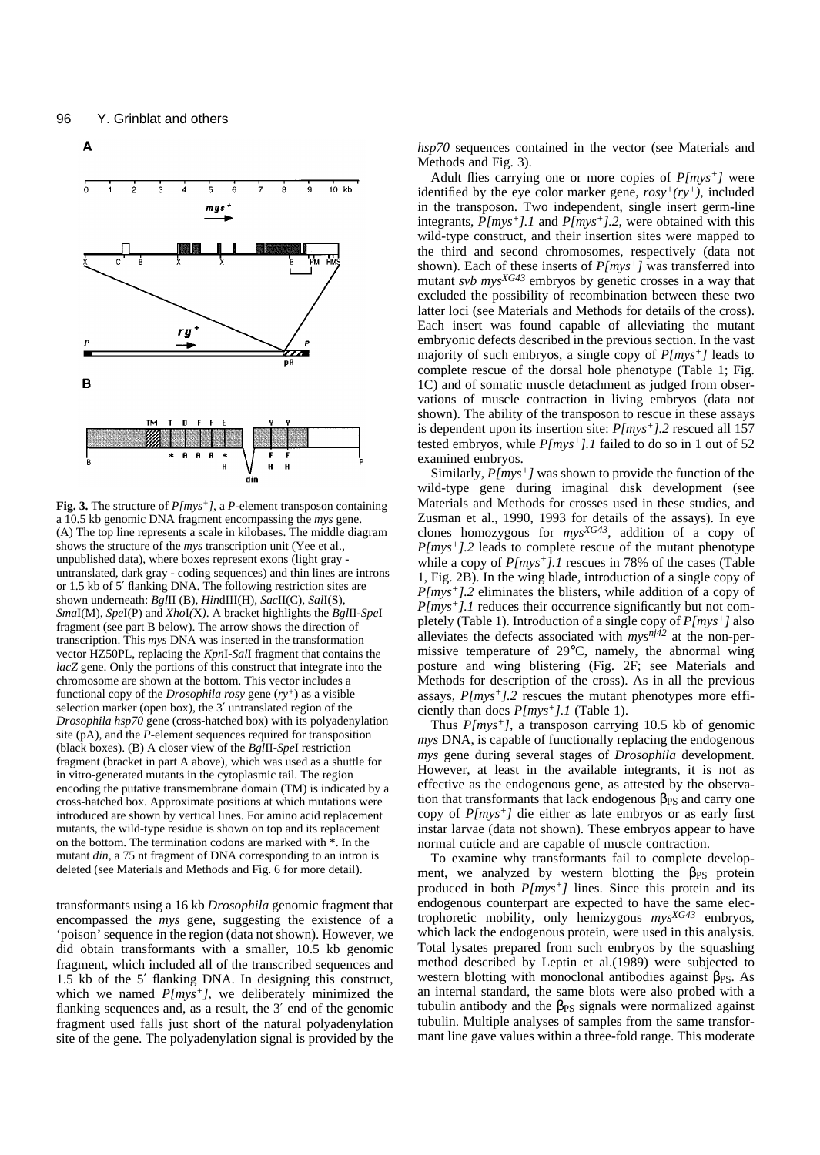

**Fig. 3.** The structure of *P[mys+]*, <sup>a</sup> *P*-element transposon containing a 10.5 kb genomic DNA fragment encompassing the *mys* gene. (A) The top line represents a scale in kilobases. The middle diagram shows the structure of the *mys* transcription unit (Yee et al., unpublished data), where boxes represent exons (light gray untranslated, dark gray - coding sequences) and thin lines are introns or 1.5 kb of 5′ flanking DNA. The following restriction sites are shown underneath: *Bgl*II (B), *Hin*dIII(H), *Sac*II(C), *Sal*I(S), *Sma*I(M), *Spe*I(P) and *Xho*I*(*X*)*. A bracket highlights the *Bgl*II-*Spe*I fragment (see part B below). The arrow shows the direction of transcription. This *mys* DNA was inserted in the transformation vector HZ50PL, replacing the *Kpn*I-*Sal*I fragment that contains the *lacZ* gene. Only the portions of this construct that integrate into the chromosome are shown at the bottom. This vector includes a functional copy of the *Drosophila rosy* gene (*ry<sup>+</sup>*) as a visible selection marker (open box), the 3′ untranslated region of the *Drosophila hsp70* gene (cross-hatched box) with its polyadenylation site (pA), and the *P-*element sequences required for transposition (black boxes). (B) A closer view of the *Bgl*II-*Spe*I restriction fragment (bracket in part A above), which was used as a shuttle for in vitro-generated mutants in the cytoplasmic tail. The region encoding the putative transmembrane domain (TM) is indicated by a cross-hatched box. Approximate positions at which mutations were introduced are shown by vertical lines. For amino acid replacement mutants, the wild-type residue is shown on top and its replacement on the bottom. The termination codons are marked with \*. In the mutant *din*, a 75 nt fragment of DNA corresponding to an intron is deleted (see Materials and Methods and Fig. 6 for more detail).

transformants using a 16 kb *Drosophila* genomic fragment that encompassed the *mys* gene, suggesting the existence of a 'poison' sequence in the region (data not shown). However, we did obtain transformants with a smaller, 10.5 kb genomic fragment, which included all of the transcribed sequences and 1.5 kb of the 5′ flanking DNA. In designing this construct, which we named  $P(mys<sup>+</sup>)$ , we deliberately minimized the flanking sequences and, as a result, the 3' end of the genomic fragment used falls just short of the natural polyadenylation site of the gene. The polyadenylation signal is provided by the *hsp70* sequences contained in the vector (see Materials and Methods and Fig. 3).

Adult flies carrying one or more copies of *P[mys+]* were identified by the eye color marker gene, *rosy+(ry+)*, included in the transposon. Two independent, single insert germ-line integrants, *P[mys+].1* and *P[mys+].2*, were obtained with this wild-type construct, and their insertion sites were mapped to the third and second chromosomes, respectively (data not shown). Each of these inserts of *P[mys+]* was transferred into mutant *svb mysXG43* embryos by genetic crosses in a way that excluded the possibility of recombination between these two latter loci (see Materials and Methods for details of the cross). Each insert was found capable of alleviating the mutant embryonic defects described in the previous section. In the vast majority of such embryos, a single copy of *P[mys+]* leads to complete rescue of the dorsal hole phenotype (Table 1; Fig. 1C) and of somatic muscle detachment as judged from observations of muscle contraction in living embryos (data not shown). The ability of the transposon to rescue in these assays is dependent upon its insertion site: *P[mys+].2* rescued all 157 tested embryos, while *P[mys+].1* failed to do so in 1 out of 52 examined embryos.

Similarly, *P[mys+]* was shown to provide the function of the wild-type gene during imaginal disk development (see Materials and Methods for crosses used in these studies, and Zusman et al., 1990, 1993 for details of the assays). In eye clones homozygous for *mysXG43*, addition of a copy of *P[mys+].2* leads to complete rescue of the mutant phenotype while a copy of  $P/mys<sup>+</sup>$ *l.1* rescues in 78% of the cases (Table 1, Fig. 2B). In the wing blade, introduction of a single copy of *P[mys+].2* eliminates the blisters, while addition of a copy of *P[mys<sup>+</sup>].1* reduces their occurrence significantly but not completely (Table 1). Introduction of a single copy of *P[mys+]* also alleviates the defects associated with *mysnj42* at the non-permissive temperature of 29°C, namely, the abnormal wing posture and wing blistering (Fig. 2F; see Materials and Methods for description of the cross). As in all the previous assays, *P[mys+].2* rescues the mutant phenotypes more efficiently than does *P[mys+].1* (Table 1).

Thus *P[mys+]*, a transposon carrying 10.5 kb of genomic *mys* DNA, is capable of functionally replacing the endogenous *mys* gene during several stages of *Drosophila* development. However, at least in the available integrants, it is not as effective as the endogenous gene, as attested by the observation that transformants that lack endogenous  $\beta_{PS}$  and carry one copy of *P[mys+]* die either as late embryos or as early first instar larvae (data not shown). These embryos appear to have normal cuticle and are capable of muscle contraction.

To examine why transformants fail to complete development, we analyzed by western blotting the  $\beta_{PS}$  protein produced in both *P[mys+]* lines. Since this protein and its endogenous counterpart are expected to have the same electrophoretic mobility, only hemizygous *mysXG43* embryos, which lack the endogenous protein, were used in this analysis. Total lysates prepared from such embryos by the squashing method described by Leptin et al.(1989) were subjected to western blotting with monoclonal antibodies against  $\beta_{PS}$ . As an internal standard, the same blots were also probed with a tubulin antibody and the  $\beta_{PS}$  signals were normalized against tubulin. Multiple analyses of samples from the same transformant line gave values within a three-fold range. This moderate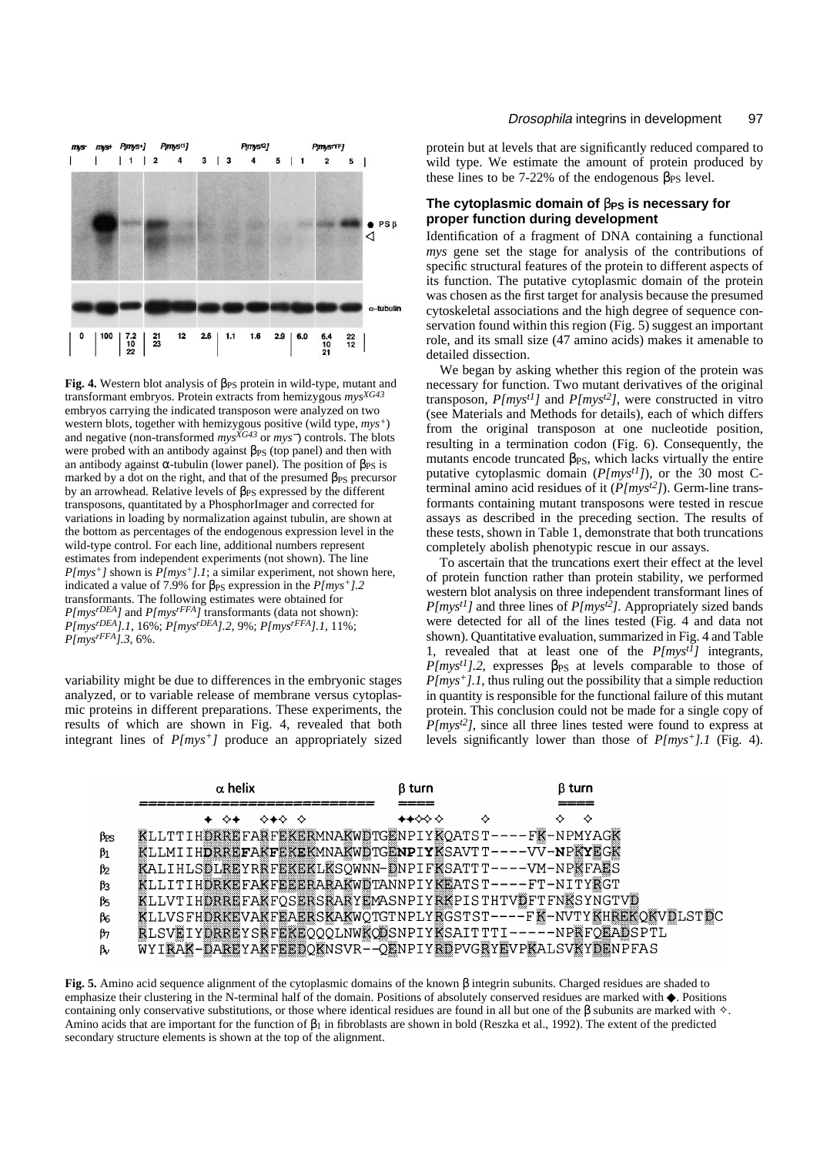

Fig. 4. Western blot analysis of β<sub>PS</sub> protein in wild-type, mutant and transformant embryos. Protein extracts from hemizygous *mysXG43* embryos carrying the indicated transposon were analyzed on two western blots, together with hemizygous positive (wild type, *mys<sup>+</sup>*) and negative (non-transformed *mysXG43* or *mys*<sup>−</sup>) controls. The blots were probed with an antibody against  $\beta_{PS}$  (top panel) and then with an antibody against  $\alpha$ -tubulin (lower panel). The position of  $\beta_{PS}$  is marked by a dot on the right, and that of the presumed  $\beta_{PS}$  precursor by an arrowhead. Relative levels of  $\beta_{PS}$  expressed by the different transposons, quantitated by a PhosphorImager and corrected for variations in loading by normalization against tubulin, are shown at the bottom as percentages of the endogenous expression level in the wild-type control. For each line, additional numbers represent estimates from independent experiments (not shown). The line *P[mys+]* shown is *P[mys+].1*; a similar experiment, not shown here, indicated a value of 7.9% for  $\beta_{PS}$  expression in the  $P(mys^{+})$ .2 transformants. The following estimates were obtained for *P[mysrDEA]* and *P[mysrFFA]* transformants (data not shown): *P[mysrDEA].1*, 16%; *P[mysrDEA].2*, 9%; *P[mysrFFA].1*, 11%; *P[mysrFFA].3*, 6%.

variability might be due to differences in the embryonic stages analyzed, or to variable release of membrane versus cytoplasmic proteins in different preparations. These experiments, the results of which are shown in Fig. 4, revealed that both integrant lines of *P[mys+]* produce an appropriately sized

#### Drosophila integrins in development 97

protein but at levels that are significantly reduced compared to wild type. We estimate the amount of protein produced by these lines to be 7-22% of the endogenous  $\beta_{PS}$  level.

## **The cytoplasmic domain of** β**PS is necessary for proper function during development**

Identification of a fragment of DNA containing a functional *mys* gene set the stage for analysis of the contributions of specific structural features of the protein to different aspects of its function. The putative cytoplasmic domain of the protein was chosen as the first target for analysis because the presumed cytoskeletal associations and the high degree of sequence conservation found within this region (Fig. 5) suggest an important role, and its small size (47 amino acids) makes it amenable to detailed dissection.

We began by asking whether this region of the protein was necessary for function. Two mutant derivatives of the original transposon, *P[myst1]* and *P[myst2]*, were constructed in vitro (see Materials and Methods for details), each of which differs from the original transposon at one nucleotide position, resulting in a termination codon (Fig. 6). Consequently, the mutants encode truncated  $\beta_{PS}$ , which lacks virtually the entire putative cytoplasmic domain (*P[myst1]*), or the 30 most Cterminal amino acid residues of it (*P[myst2]*). Germ-line transformants containing mutant transposons were tested in rescue assays as described in the preceding section. The results of these tests, shown in Table 1, demonstrate that both truncations completely abolish phenotypic rescue in our assays.

To ascertain that the truncations exert their effect at the level of protein function rather than protein stability, we performed western blot analysis on three independent transformant lines of  $P(mys<sup>t1</sup>]$  and three lines of  $P(mys<sup>t2</sup>)$ . Appropriately sized bands were detected for all of the lines tested (Fig. 4 and data not shown). Quantitative evaluation, summarized in Fig. 4 and Table 1, revealed that at least one of the  $P(mys<sup>t</sup>)$  integrants,  $P(mys<sup>t1</sup>)$ .2, expresses  $\beta_{PS}$  at levels comparable to those of *P[mys+].1*, thus ruling out the possibility that a simple reduction in quantity is responsible for the functional failure of this mutant protein. This conclusion could not be made for a single copy of *P[myst2]*, since all three lines tested were found to express at levels significantly lower than those of *P[mys+].1* (Fig. 4).

|                  | $\alpha$ helix                                                  | ß turn | B turn |  |
|------------------|-----------------------------------------------------------------|--------|--------|--|
|                  | ⊹ ⊹⊹                                                            | ✦✦ଧଧ∻  |        |  |
| ЪS               | KLLTTIHDRREFARFEKERMNAKWDTGENPIYKQATST----FK-NPMYAGK            |        |        |  |
| $\mathfrak{h}_1$ | KLLMIIHDRREFAKFEKEKMNAKWDTGENPIYKSAVTT----VV-NPKYEGK            |        |        |  |
| ♭.               | KALIHLSDLKEYRKFEKEKLKSQWNN-DNPIFKSATTT----VM-NPKFÄES            |        |        |  |
| ķ                | <b>紧LLITIHDRKEFAKFEEERARAKWDTANNPIYKEATST----FT-NITY繋GT</b>     |        |        |  |
| y.               | 紧LLVTIHDRREFAKFQSERSKARYEMASNPIYRKPISTHTVDFTFNKSYNGTVD          |        |        |  |
| k.               | KLLVSFHDRKEVAKFEAERSKAKWOTGTNPLYRGSTST----FK-NVTYKHREKOKVDLSTDC |        |        |  |
| ϧ                | KLSVKIYDRREYSKFEKEQQQLNWKQDSNPIYKSAITTTI------NPKFOEADSPTL      |        |        |  |
| š,               | WYIRAK-DAREYAKFEEDQKNSVR--QENPIYRDPVGRYEVPKALSVKYDENPFAS        |        |        |  |

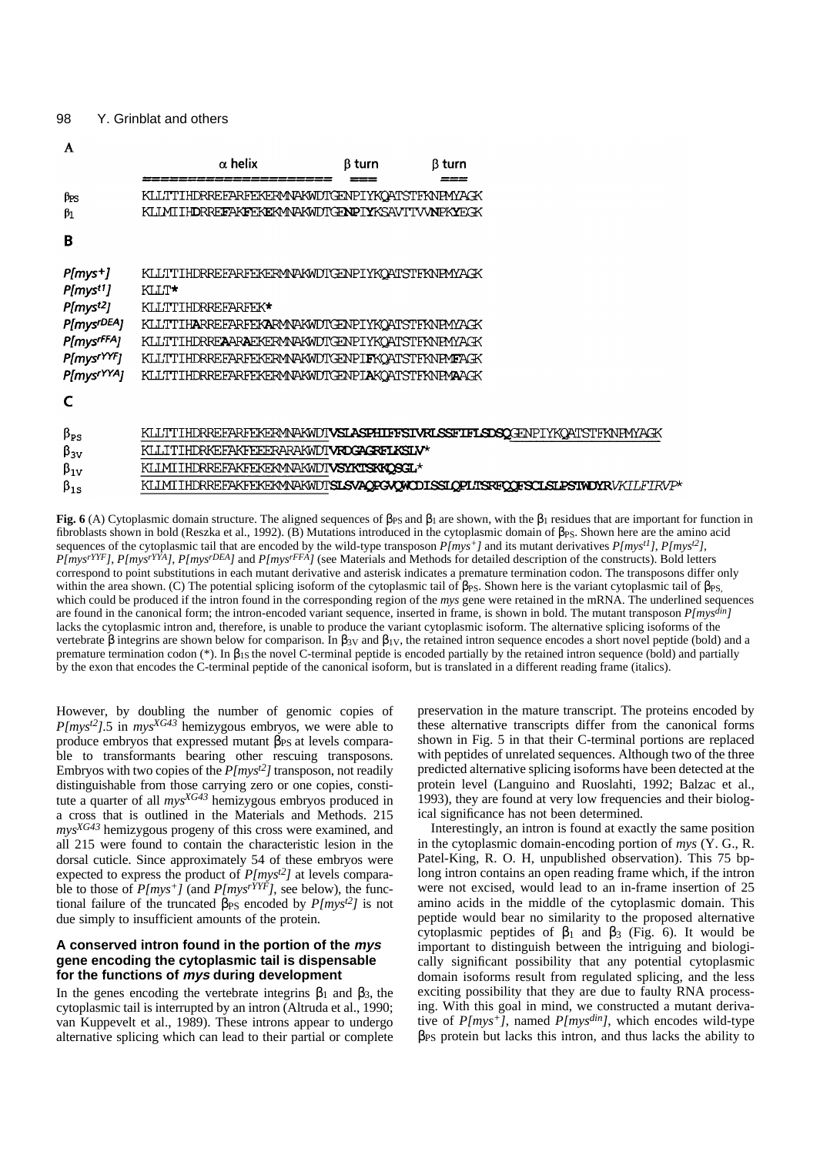|                                                                                                                                                                         | $\alpha$ helix                                                                                                                                                                                                                                                                             | β turn | <b>B</b> turn |                                                                                       |  |  |
|-------------------------------------------------------------------------------------------------------------------------------------------------------------------------|--------------------------------------------------------------------------------------------------------------------------------------------------------------------------------------------------------------------------------------------------------------------------------------------|--------|---------------|---------------------------------------------------------------------------------------|--|--|
| βes<br>$\beta_1$                                                                                                                                                        | KLLTTIHDRREFARFEKERMNAKWDTGENPIYKQATSTFKNPMYAGK<br>KLIMITHDRREFAKFEKEKMVAKWDTGFNPTYKSAVTTV/NPKYEGK                                                                                                                                                                                         |        |               |                                                                                       |  |  |
| В                                                                                                                                                                       |                                                                                                                                                                                                                                                                                            |        |               |                                                                                       |  |  |
| $P(mys+]$<br>P[mys <sup>t1</sup> ]<br>P[mys <sup>t2</sup> ]<br>P[mysr <sup>DEA</sup> ]<br>P[mys <sup>rFFA</sup> ]<br>P[mys <sup>rYYF</sup> ]<br>P[mys <sup>rYYA</sup> ] | KLLTTIHDRREFARFEKERMVAKWDTGENPIYKQATSTFKNRMYAGK<br>KLLT*<br>KLLTTIHDRREFARFEK*<br>KLLTTIHARREFARFEKARMMAKWDTGENPIYKOATSTFKNPMYAGK<br>KLLTTIHDRREAARAEKERMMAKWDTGENPIYKQATSTFKNRMYAGK<br>KLLTTIHDRREFARFEKERMMAKWDTGENPIFKOATSTFKNFMFAGK<br>KLLTTIHDRREFARFEKERMVAKWDTGENPIAKOATSTFKNPMAAGK |        |               |                                                                                       |  |  |
| $\beta_{PS}$<br>$\beta_{3V}$<br>$\beta_{1V}$<br>$\beta_{1S}$                                                                                                            | KLLTTIHDRREFARFEKERMNAKWDI <b>VSLASPHIFFSIVRLSSFIFLSDSQ</b> GENPIYKQATSTFKNPMYAGK<br>KLLITIHDRKEFAKFEEFRARAKWDI <b>VROGAGRFIKSIV*</b><br>KLIMITHDRREFAKFEKEKMNAKWDTVSYKTSKKOSGL*                                                                                                           |        |               | KLIMI IHDRREFAKFEKEKMNAKWDTS <b>LSVAQPGVQWODISSIQPLTSRFQQFSCLSLPSTWDYR</b> VKILFIRVP* |  |  |

**Fig. 6** (A) Cytoplasmic domain structure. The aligned sequences of  $β_{PS}$  and  $β_1$  are shown, with the  $β_1$  residues that are important for function in fibroblasts shown in bold (Reszka et al., 1992). (B) Mutations introduced in the cytoplasmic domain of βPs. Shown here are the amino acid sequences of the cytoplasmic tail that are encoded by the wild-type transposon  $P(mys<sup>+1</sup>)$  and its mutant derivatives  $P(mys<sup>+1</sup>)$ ,  $P(mys<sup>+2</sup>)$ , *P[mysrYYF]*, *P[mysrYYA]*, *P[mysrDEA]* and *P[mysrFFA]* (see Materials and Methods for detailed description of the constructs). Bold letters correspond to point substitutions in each mutant derivative and asterisk indicates a premature termination codon. The transposons differ only within the area shown. (C) The potential splicing isoform of the cytoplasmic tail of βPS. Shown here is the variant cytoplasmic tail of βPS, which could be produced if the intron found in the corresponding region of the *mys* gene were retained in the mRNA. The underlined sequences are found in the canonical form; the intron-encoded variant sequence, inserted in frame, is shown in bold. The mutant transposon *P[mysdin]* lacks the cytoplasmic intron and, therefore, is unable to produce the variant cytoplasmic isoform. The alternative splicing isoforms of the vertebrate β integrins are shown below for comparison. In β<sub>3V</sub> and β<sub>1V</sub>, the retained intron sequence encodes a short novel peptide (bold) and a premature termination codon (\*). In  $\beta_{1S}$  the novel C-terminal peptide is encoded partially by the retained intron sequence (bold) and partially by the exon that encodes the C-terminal peptide of the canonical isoform, but is translated in a different reading frame (italics).

However, by doubling the number of genomic copies of *P[myst2]*.5 in *mysXG43* hemizygous embryos, we were able to produce embryos that expressed mutant  $\beta_{PS}$  at levels comparable to transformants bearing other rescuing transposons. Embryos with two copies of the *P[myst2]* transposon, not readily distinguishable from those carrying zero or one copies, constitute a quarter of all *mysXG43* hemizygous embryos produced in a cross that is outlined in the Materials and Methods. 215 *mysXG43* hemizygous progeny of this cross were examined, and all 215 were found to contain the characteristic lesion in the dorsal cuticle. Since approximately 54 of these embryos were expected to express the product of *P[myst2]* at levels comparable to those of  $P(mys^{+})$  (and  $P(mys^{rYYF})$ , see below), the functional failure of the truncated β<sub>PS</sub> encoded by *P[mys<sup>t2</sup>]* is not due simply to insufficient amounts of the protein.

## **A conserved intron found in the portion of the mys gene encoding the cytoplasmic tail is dispensable for the functions of mys during development**

In the genes encoding the vertebrate integrins  $\beta_1$  and  $\beta_3$ , the cytoplasmic tail is interrupted by an intron (Altruda et al., 1990; van Kuppevelt et al., 1989). These introns appear to undergo alternative splicing which can lead to their partial or complete

preservation in the mature transcript. The proteins encoded by these alternative transcripts differ from the canonical forms shown in Fig. 5 in that their C-terminal portions are replaced with peptides of unrelated sequences. Although two of the three predicted alternative splicing isoforms have been detected at the protein level (Languino and Ruoslahti, 1992; Balzac et al., 1993), they are found at very low frequencies and their biological significance has not been determined.

Interestingly, an intron is found at exactly the same position in the cytoplasmic domain-encoding portion of *mys* (Y. G., R. Patel-King, R. O. H, unpublished observation). This 75 bplong intron contains an open reading frame which, if the intron were not excised, would lead to an in-frame insertion of 25 amino acids in the middle of the cytoplasmic domain. This peptide would bear no similarity to the proposed alternative cytoplasmic peptides of  $β_1$  and  $β_3$  (Fig. 6). It would be important to distinguish between the intriguing and biologically significant possibility that any potential cytoplasmic domain isoforms result from regulated splicing, and the less exciting possibility that they are due to faulty RNA processing. With this goal in mind, we constructed a mutant derivative of *P[mys+]*, named *P[mysdin]*, which encodes wild-type  $\beta_{PS}$  protein but lacks this intron, and thus lacks the ability to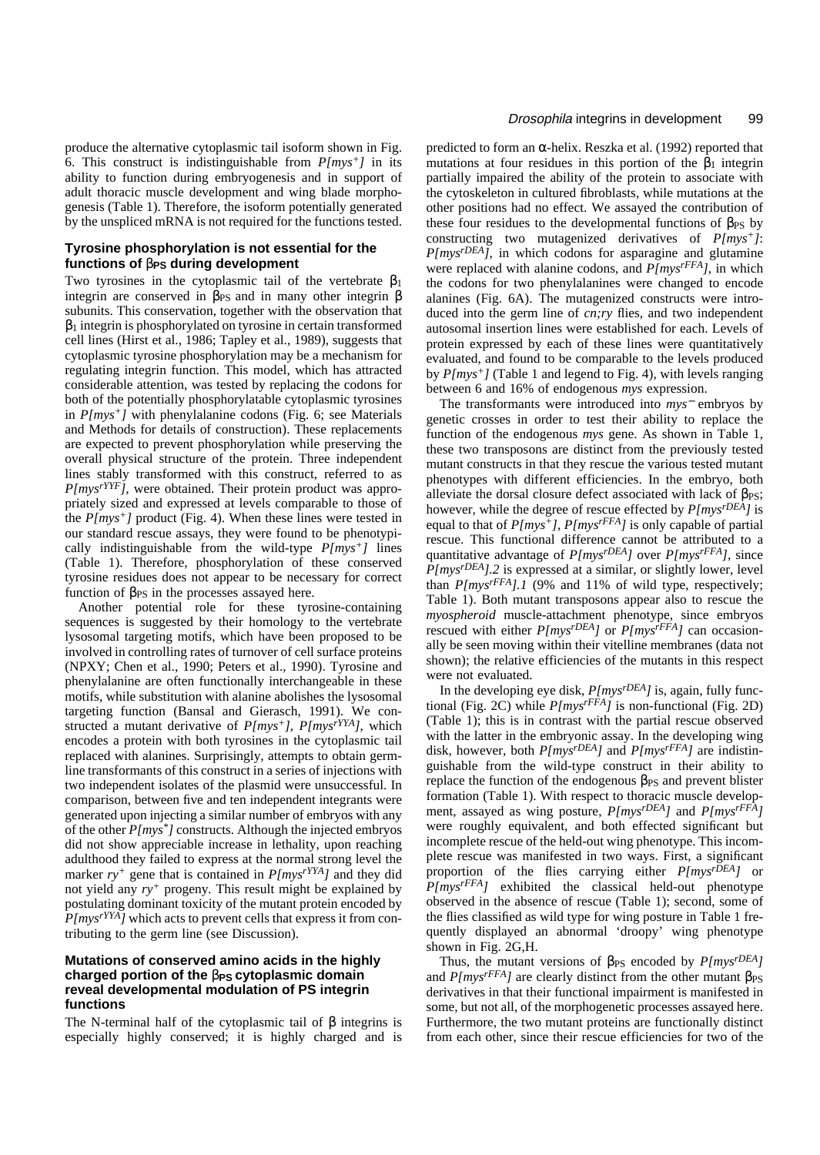produce the alternative cytoplasmic tail isoform shown in Fig. 6. This construct is indistinguishable from *P[mys+]* in its ability to function during embryogenesis and in support of adult thoracic muscle development and wing blade morphogenesis (Table 1). Therefore, the isoform potentially generated by the unspliced mRNA is not required for the functions tested.

### **Tyrosine phosphorylation is not essential for the functions of**  β**PS during development**

Two tyrosines in the cytoplasmic tail of the vertebrate  $\beta_1$ integrin are conserved in  $\beta_{PS}$  and in many other integrin  $\beta$ subunits. This conservation, together with the observation that β<sup>1</sup> integrin is phosphorylated on tyrosine in certain transformed cell lines (Hirst et al., 1986; Tapley et al., 1989), suggests that cytoplasmic tyrosine phosphorylation may be a mechanism for regulating integrin function. This model, which has attracted considerable attention, was tested by replacing the codons for both of the potentially phosphorylatable cytoplasmic tyrosines in *P[mys+]* with phenylalanine codons (Fig. 6; see Materials and Methods for details of construction). These replacements are expected to prevent phosphorylation while preserving the overall physical structure of the protein. Three independent lines stably transformed with this construct, referred to as *P[mysrYYF]*, were obtained. Their protein product was appropriately sized and expressed at levels comparable to those of the *P[mys+]* product (Fig. 4). When these lines were tested in our standard rescue assays, they were found to be phenotypically indistinguishable from the wild-type *P[mys+]* lines (Table 1). Therefore, phosphorylation of these conserved tyrosine residues does not appear to be necessary for correct function of  $β_{PS}$  in the processes assayed here.

Another potential role for these tyrosine-containing sequences is suggested by their homology to the vertebrate lysosomal targeting motifs, which have been proposed to be involved in controlling rates of turnover of cell surface proteins (NPXY; Chen et al., 1990; Peters et al., 1990). Tyrosine and phenylalanine are often functionally interchangeable in these motifs, while substitution with alanine abolishes the lysosomal targeting function (Bansal and Gierasch, 1991). We constructed a mutant derivative of *P[mys+]*, *P[mysrYYA]*, which encodes a protein with both tyrosines in the cytoplasmic tail replaced with alanines. Surprisingly, attempts to obtain germline transformants of this construct in a series of injections with two independent isolates of the plasmid were unsuccessful. In comparison, between five and ten independent integrants were generated upon injecting a similar number of embryos with any of the other *P[mys\*]* constructs. Although the injected embryos did not show appreciable increase in lethality, upon reaching adulthood they failed to express at the normal strong level the marker  $ry^+$  gene that is contained in  $P(mys<sup>rYYA</sup>)$  and they did not yield any *ry<sup>+</sup>* progeny*.* This result might be explained by postulating dominant toxicity of the mutant protein encoded by *P[mysrYYA]* which acts to prevent cells that express it from contributing to the germ line (see Discussion).

## **Mutations of conserved amino acids in the highly charged portion of the β<sub>PS</sub> cytoplasmic domain reveal developmental modulation of PS integrin functions**

The N-terminal half of the cytoplasmic tail of  $\beta$  integrins is especially highly conserved; it is highly charged and is

predicted to form an <sup>α</sup>-helix. Reszka et al. (1992) reported that mutations at four residues in this portion of the  $\beta_1$  integrin partially impaired the ability of the protein to associate with the cytoskeleton in cultured fibroblasts, while mutations at the other positions had no effect. We assayed the contribution of these four residues to the developmental functions of  $\beta_{PS}$  by constructing two mutagenized derivatives of *P[mys+]*: *P[mysrDEA]*, in which codons for asparagine and glutamine were replaced with alanine codons, and *P[mysrFFA]*, in which the codons for two phenylalanines were changed to encode alanines (Fig. 6A). The mutagenized constructs were introduced into the germ line of *cn;ry* flies, and two independent autosomal insertion lines were established for each. Levels of protein expressed by each of these lines were quantitatively evaluated, and found to be comparable to the levels produced by *P[mys+]* (Table 1 and legend to Fig. 4), with levels ranging between 6 and 16% of endogenous *mys* expression.

The transformants were introduced into *mys*<sup>−</sup> embryos by genetic crosses in order to test their ability to replace the function of the endogenous *mys* gene. As shown in Table 1, these two transposons are distinct from the previously tested mutant constructs in that they rescue the various tested mutant phenotypes with different efficiencies. In the embryo, both alleviate the dorsal closure defect associated with lack of  $\beta_{PS}$ ; however, while the degree of rescue effected by *P[mysrDEA]* is equal to that of *P[mys+]*, *P[mysrFFA]* is only capable of partial rescue. This functional difference cannot be attributed to a quantitative advantage of *P[mysrDEA]* over *P[mysrFFA]*, since *P[mysrDEA].2* is expressed at a similar, or slightly lower, level than *P[mysrFFA].1* (9% and 11% of wild type, respectively; Table 1). Both mutant transposons appear also to rescue the *myospheroid* muscle-attachment phenotype, since embryos rescued with either *P[mysrDEA]* or *P[mysrFFA]* can occasionally be seen moving within their vitelline membranes (data not shown); the relative efficiencies of the mutants in this respect were not evaluated.

In the developing eye disk, *P[mysrDEA]* is, again, fully functional (Fig. 2C) while *P[mysrFFA]* is non-functional (Fig. 2D) (Table 1); this is in contrast with the partial rescue observed with the latter in the embryonic assay. In the developing wing disk, however, both *P[mysrDEA]* and *P[mysrFFA]* are indistinguishable from the wild-type construct in their ability to replace the function of the endogenous βPS and prevent blister formation (Table 1). With respect to thoracic muscle development, assayed as wing posture, *P[mysrDEA]* and *P[mysrFFA]* were roughly equivalent, and both effected significant but incomplete rescue of the held-out wing phenotype. This incomplete rescue was manifested in two ways. First, a significant proportion of the flies carrying either *P[mysrDEA]* or *P[mysrFFA]* exhibited the classical held-out phenotype observed in the absence of rescue (Table 1); second, some of the flies classified as wild type for wing posture in Table 1 frequently displayed an abnormal 'droopy' wing phenotype shown in Fig. 2G,H.

Thus, the mutant versions of  $\beta_{PS}$  encoded by  $Plmys<sup>rDEA</sup>$ ] and  $P(mys<sup>rFFA</sup>)$  are clearly distinct from the other mutant  $\beta_{PS}$ derivatives in that their functional impairment is manifested in some, but not all, of the morphogenetic processes assayed here. Furthermore, the two mutant proteins are functionally distinct from each other, since their rescue efficiencies for two of the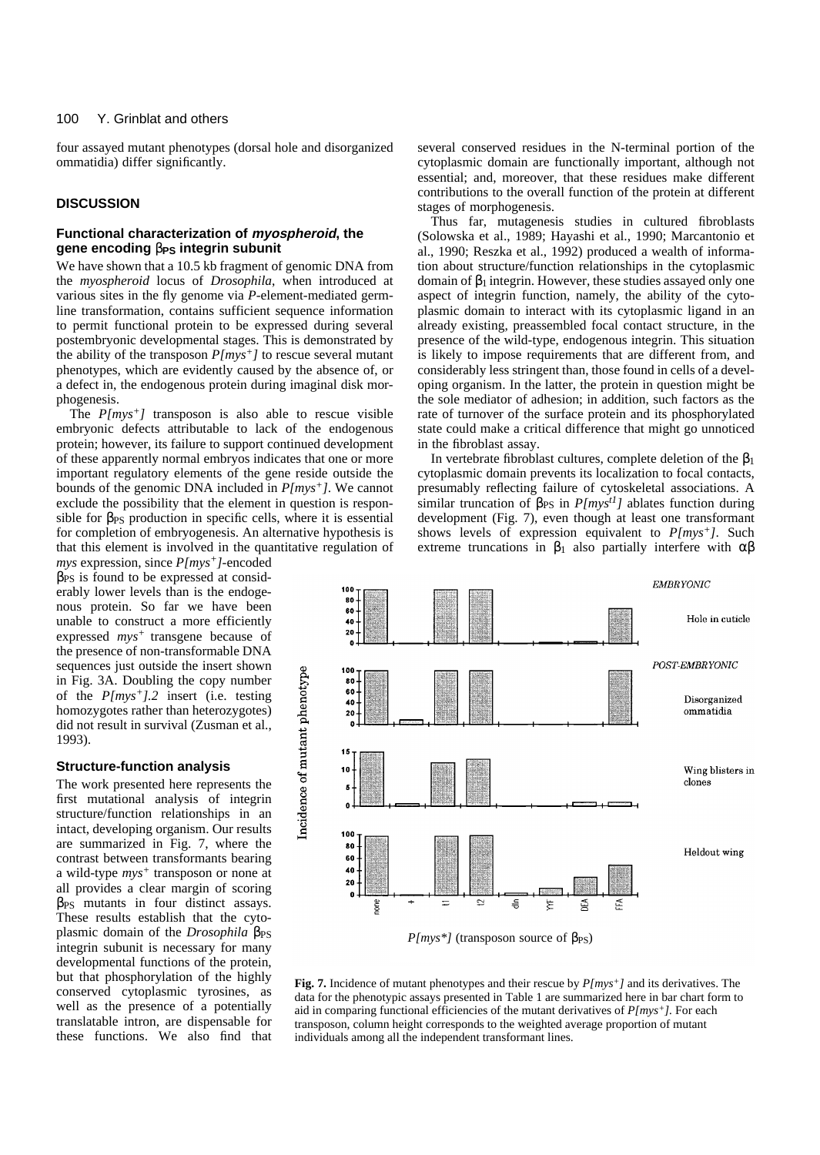four assayed mutant phenotypes (dorsal hole and disorganized ommatidia) differ significantly.

## **DISCUSSION**

## **Functional characterization of myospheroid, the gene encoding**  β**PS integrin subunit**

We have shown that a 10.5 kb fragment of genomic DNA from the *myospheroid* locus of *Drosophila*, when introduced at various sites in the fly genome via *P*-element-mediated germline transformation, contains sufficient sequence information to permit functional protein to be expressed during several postembryonic developmental stages. This is demonstrated by the ability of the transposon *P[mys+]* to rescue several mutant phenotypes, which are evidently caused by the absence of, or a defect in, the endogenous protein during imaginal disk morphogenesis.

The *P[mys+]* transposon is also able to rescue visible embryonic defects attributable to lack of the endogenous protein; however, its failure to support continued development of these apparently normal embryos indicates that one or more important regulatory elements of the gene reside outside the bounds of the genomic DNA included in *P[mys+]*. We cannot exclude the possibility that the element in question is responsible for  $\beta_{PS}$  production in specific cells, where it is essential for completion of embryogenesis. An alternative hypothesis is that this element is involved in the quantitative regulation of

*mys* expression, since *P[mys+]*-encoded  $β<sub>PS</sub>$  is found to be expressed at considerably lower levels than is the endogenous protein. So far we have been unable to construct a more efficiently expressed  $mys<sup>+</sup>$  transgene because of the presence of non-transformable DNA sequences just outside the insert shown in Fig. 3A. Doubling the copy number of the *P[mys+].2* insert (i.e. testing homozygotes rather than heterozygotes) did not result in survival (Zusman et al., 1993).

## **Structure-function analysis**

The work presented here represents the first mutational analysis of integrin structure/function relationships in an intact, developing organism. Our results are summarized in Fig. 7, where the contrast between transformants bearing a wild-type *mys<sup>+</sup>* transposon or none at all provides a clear margin of scoring  $β<sub>PS</sub>$  mutants in four distinct assays. These results establish that the cytoplasmic domain of the *Drosophila* β<sub>PS</sub> integrin subunit is necessary for many developmental functions of the protein, but that phosphorylation of the highly conserved cytoplasmic tyrosines, as well as the presence of a potentially translatable intron, are dispensable for these functions. We also find that several conserved residues in the N-terminal portion of the cytoplasmic domain are functionally important, although not essential; and, moreover, that these residues make different contributions to the overall function of the protein at different stages of morphogenesis.

Thus far, mutagenesis studies in cultured fibroblasts (Solowska et al., 1989; Hayashi et al., 1990; Marcantonio et al., 1990; Reszka et al., 1992) produced a wealth of information about structure/function relationships in the cytoplasmic domain of  $\beta_1$  integrin. However, these studies assayed only one aspect of integrin function, namely, the ability of the cytoplasmic domain to interact with its cytoplasmic ligand in an already existing, preassembled focal contact structure, in the presence of the wild-type, endogenous integrin. This situation is likely to impose requirements that are different from, and considerably less stringent than, those found in cells of a developing organism. In the latter, the protein in question might be the sole mediator of adhesion; in addition, such factors as the rate of turnover of the surface protein and its phosphorylated state could make a critical difference that might go unnoticed in the fibroblast assay.

In vertebrate fibroblast cultures, complete deletion of the  $\beta_1$ cytoplasmic domain prevents its localization to focal contacts, presumably reflecting failure of cytoskeletal associations. A similar truncation of β<sub>PS</sub> in *P[mys<sup>t1</sup>]* ablates function during development (Fig. 7), even though at least one transformant shows levels of expression equivalent to *P[mys+]*. Such extreme truncations in  $\beta_1$  also partially interfere with  $\alpha\beta$ 



**Fig. 7.** Incidence of mutant phenotypes and their rescue by *P[mys+]* and its derivatives. The data for the phenotypic assays presented in Table 1 are summarized here in bar chart form to aid in comparing functional efficiencies of the mutant derivatives of *P[mys+].* For each transposon, column height corresponds to the weighted average proportion of mutant individuals among all the independent transformant lines.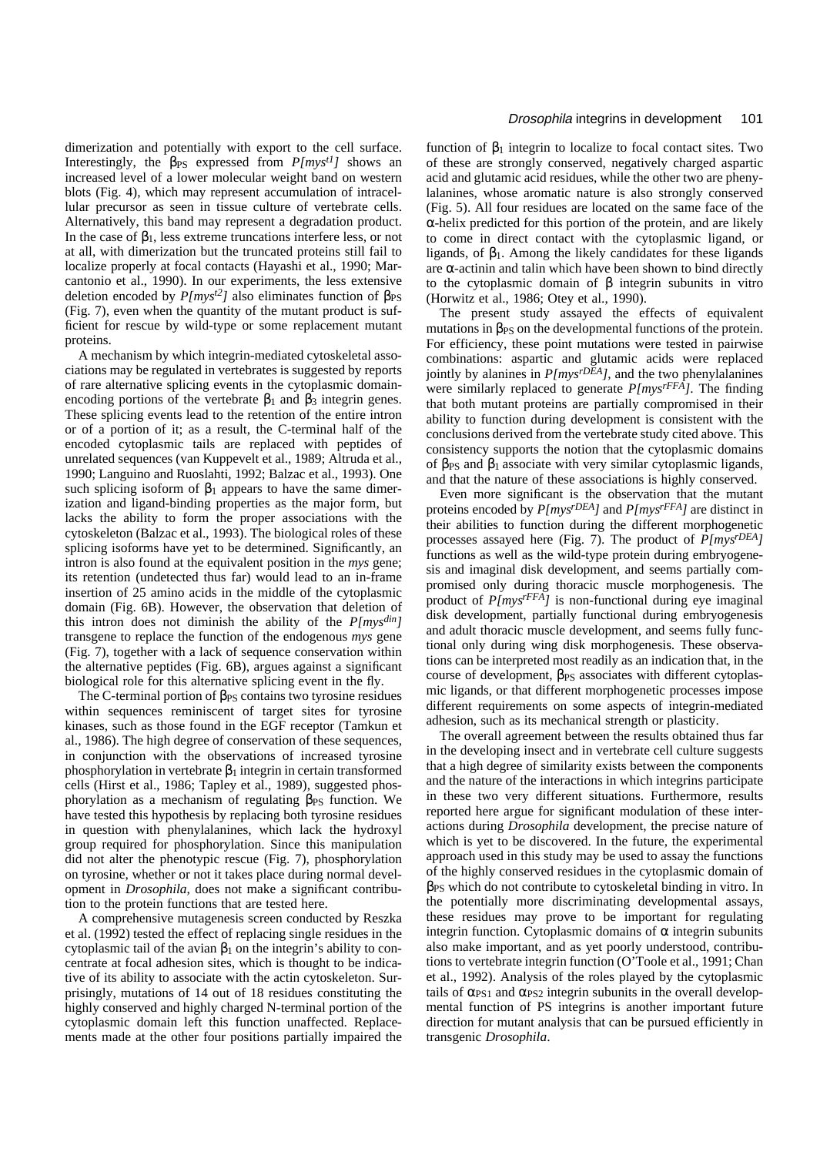dimerization and potentially with export to the cell surface. Interestingly, the β<sub>PS</sub> expressed from *P[mys<sup>t1</sup>]* shows an increased level of a lower molecular weight band on western blots (Fig. 4), which may represent accumulation of intracellular precursor as seen in tissue culture of vertebrate cells. Alternatively, this band may represent a degradation product. In the case of  $\beta_1$ , less extreme truncations interfere less, or not at all, with dimerization but the truncated proteins still fail to localize properly at focal contacts (Hayashi et al., 1990; Marcantonio et al., 1990). In our experiments, the less extensive deletion encoded by  $P(mys^2)$  also eliminates function of  $\beta_{PS}$ (Fig. 7), even when the quantity of the mutant product is sufficient for rescue by wild-type or some replacement mutant proteins.

A mechanism by which integrin-mediated cytoskeletal associations may be regulated in vertebrates is suggested by reports of rare alternative splicing events in the cytoplasmic domainencoding portions of the vertebrate  $\beta_1$  and  $\beta_3$  integrin genes. These splicing events lead to the retention of the entire intron or of a portion of it; as a result, the C-terminal half of the encoded cytoplasmic tails are replaced with peptides of unrelated sequences (van Kuppevelt et al., 1989; Altruda et al., 1990; Languino and Ruoslahti, 1992; Balzac et al., 1993). One such splicing isoform of  $\beta_1$  appears to have the same dimerization and ligand-binding properties as the major form, but lacks the ability to form the proper associations with the cytoskeleton (Balzac et al., 1993). The biological roles of these splicing isoforms have yet to be determined. Significantly, an intron is also found at the equivalent position in the *mys* gene; its retention (undetected thus far) would lead to an in-frame insertion of 25 amino acids in the middle of the cytoplasmic domain (Fig. 6B). However, the observation that deletion of this intron does not diminish the ability of the *P[mysdin]* transgene to replace the function of the endogenous *mys* gene (Fig. 7), together with a lack of sequence conservation within the alternative peptides (Fig. 6B), argues against a significant biological role for this alternative splicing event in the fly.

The C-terminal portion of  $\beta_{PS}$  contains two tyrosine residues within sequences reminiscent of target sites for tyrosine kinases, such as those found in the EGF receptor (Tamkun et al., 1986). The high degree of conservation of these sequences, in conjunction with the observations of increased tyrosine phosphorylation in vertebrate  $β_1$  integrin in certain transformed cells (Hirst et al., 1986; Tapley et al., 1989), suggested phosphorylation as a mechanism of regulating  $β_{PS}$  function. We have tested this hypothesis by replacing both tyrosine residues in question with phenylalanines, which lack the hydroxyl group required for phosphorylation. Since this manipulation did not alter the phenotypic rescue (Fig. 7), phosphorylation on tyrosine, whether or not it takes place during normal development in *Drosophila*, does not make a significant contribution to the protein functions that are tested here.

A comprehensive mutagenesis screen conducted by Reszka et al. (1992) tested the effect of replacing single residues in the cytoplasmic tail of the avian  $\beta_1$  on the integrin's ability to concentrate at focal adhesion sites, which is thought to be indicative of its ability to associate with the actin cytoskeleton. Surprisingly, mutations of 14 out of 18 residues constituting the highly conserved and highly charged N-terminal portion of the cytoplasmic domain left this function unaffected. Replacements made at the other four positions partially impaired the

function of  $β_1$  integrin to localize to focal contact sites. Two of these are strongly conserved, negatively charged aspartic acid and glutamic acid residues, while the other two are phenylalanines, whose aromatic nature is also strongly conserved (Fig. 5). All four residues are located on the same face of the  $\alpha$ -helix predicted for this portion of the protein, and are likely to come in direct contact with the cytoplasmic ligand, or ligands, of  $\beta_1$ . Among the likely candidates for these ligands are <sup>α</sup>-actinin and talin which have been shown to bind directly to the cytoplasmic domain of β integrin subunits in vitro (Horwitz et al., 1986; Otey et al., 1990).

The present study assayed the effects of equivalent mutations in β<sub>PS</sub> on the developmental functions of the protein. For efficiency, these point mutations were tested in pairwise combinations: aspartic and glutamic acids were replaced jointly by alanines in *P[mysrDEA]*, and the two phenylalanines were similarly replaced to generate *P[mysrFFA]*. The finding that both mutant proteins are partially compromised in their ability to function during development is consistent with the conclusions derived from the vertebrate study cited above. This consistency supports the notion that the cytoplasmic domains of β<sub>PS</sub> and β<sub>1</sub> associate with very similar cytoplasmic ligands, and that the nature of these associations is highly conserved.

Even more significant is the observation that the mutant proteins encoded by *P[mysrDEA]* and *P[mysrFFA]* are distinct in their abilities to function during the different morphogenetic processes assayed here (Fig. 7). The product of *P[mysrDEA]* functions as well as the wild-type protein during embryogenesis and imaginal disk development, and seems partially compromised only during thoracic muscle morphogenesis. The product of *P[mysrFFA]* is non-functional during eye imaginal disk development, partially functional during embryogenesis and adult thoracic muscle development, and seems fully functional only during wing disk morphogenesis. These observations can be interpreted most readily as an indication that, in the course of development,  $\beta_{PS}$  associates with different cytoplasmic ligands, or that different morphogenetic processes impose different requirements on some aspects of integrin-mediated adhesion, such as its mechanical strength or plasticity.

The overall agreement between the results obtained thus far in the developing insect and in vertebrate cell culture suggests that a high degree of similarity exists between the components and the nature of the interactions in which integrins participate in these two very different situations. Furthermore, results reported here argue for significant modulation of these interactions during *Drosophila* development, the precise nature of which is yet to be discovered. In the future, the experimental approach used in this study may be used to assay the functions of the highly conserved residues in the cytoplasmic domain of βPS which do not contribute to cytoskeletal binding in vitro. In the potentially more discriminating developmental assays, these residues may prove to be important for regulating integrin function. Cytoplasmic domains of  $\alpha$  integrin subunits also make important, and as yet poorly understood, contributions to vertebrate integrin function (O'Toole et al., 1991; Chan et al., 1992). Analysis of the roles played by the cytoplasmic tails of  $\alpha_{PS1}$  and  $\alpha_{PS2}$  integrin subunits in the overall developmental function of PS integrins is another important future direction for mutant analysis that can be pursued efficiently in transgenic *Drosophila*.